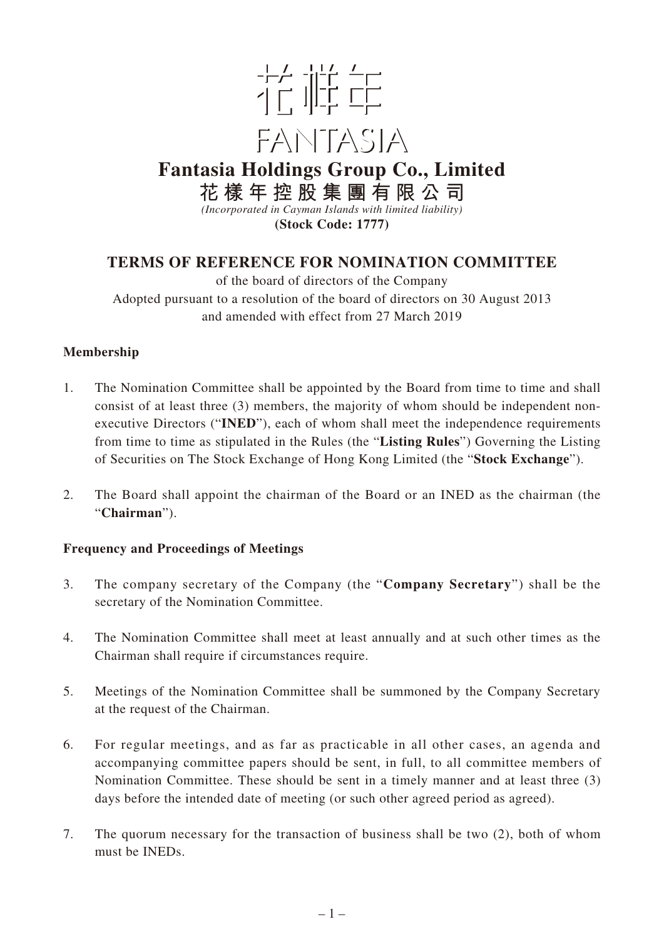

# **Fantasia Holdings Group Co., Limited 花樣年控股集團有限公司**

*(Incorporated in Cayman Islands with limited liability)* **(Stock Code: 1777)**

# **TERMS OF REFERENCE FOR NOMINATION COMMITTEE**

of the board of directors of the Company Adopted pursuant to a resolution of the board of directors on 30 August 2013 and amended with effect from 27 March 2019

# **Membership**

- 1. The Nomination Committee shall be appointed by the Board from time to time and shall consist of at least three (3) members, the majority of whom should be independent nonexecutive Directors ("**INED**"), each of whom shall meet the independence requirements from time to time as stipulated in the Rules (the "**Listing Rules**") Governing the Listing of Securities on The Stock Exchange of Hong Kong Limited (the "**Stock Exchange**").
- 2. The Board shall appoint the chairman of the Board or an INED as the chairman (the "**Chairman**").

# **Frequency and Proceedings of Meetings**

- 3. The company secretary of the Company (the "**Company Secretary**") shall be the secretary of the Nomination Committee.
- 4. The Nomination Committee shall meet at least annually and at such other times as the Chairman shall require if circumstances require.
- 5. Meetings of the Nomination Committee shall be summoned by the Company Secretary at the request of the Chairman.
- 6. For regular meetings, and as far as practicable in all other cases, an agenda and accompanying committee papers should be sent, in full, to all committee members of Nomination Committee. These should be sent in a timely manner and at least three (3) days before the intended date of meeting (or such other agreed period as agreed).
- 7. The quorum necessary for the transaction of business shall be two (2), both of whom must be INEDs.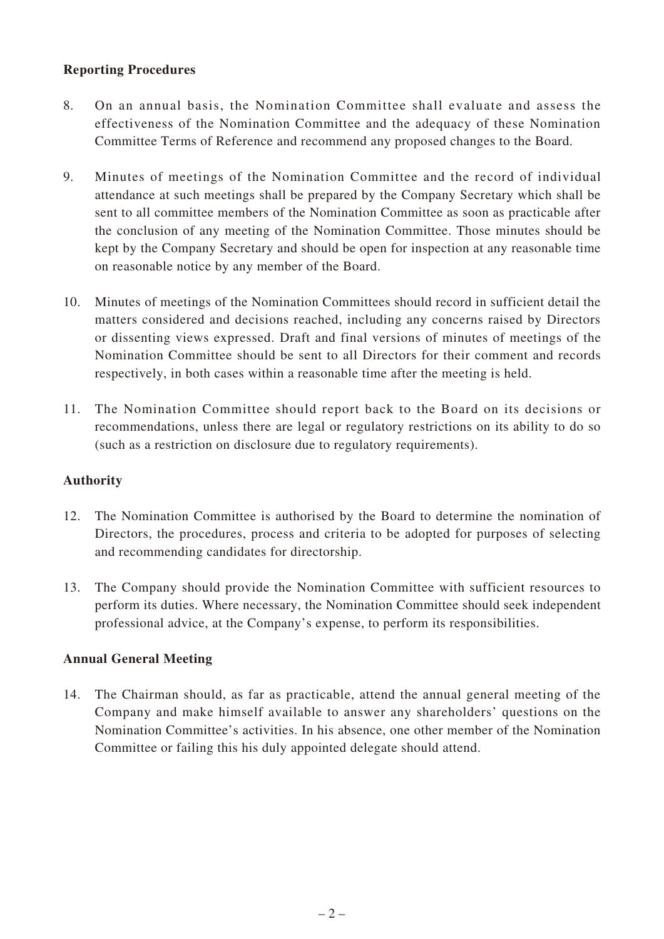# **Reporting Procedures**

- 8. On an annual basis, the Nomination Committee shall evaluate and assess the effectiveness of the Nomination Committee and the adequacy of these Nomination Committee Terms of Reference and recommend any proposed changes to the Board.
- 9. Minutes of meetings of the Nomination Committee and the record of individual attendance at such meetings shall be prepared by the Company Secretary which shall be sent to all committee members of the Nomination Committee as soon as practicable after the conclusion of any meeting of the Nomination Committee. Those minutes should be kept by the Company Secretary and should be open for inspection at any reasonable time on reasonable notice by any member of the Board.
- 10. Minutes of meetings of the Nomination Committees should record in sufficient detail the matters considered and decisions reached, including any concerns raised by Directors or dissenting views expressed. Draft and final versions of minutes of meetings of the Nomination Committee should be sent to all Directors for their comment and records respectively, in both cases within a reasonable time after the meeting is held.
- 11. The Nomination Committee should report back to the Board on its decisions or recommendations, unless there are legal or regulatory restrictions on its ability to do so (such as a restriction on disclosure due to regulatory requirements).

# **Authority**

- 12. The Nomination Committee is authorised by the Board to determine the nomination of Directors, the procedures, process and criteria to be adopted for purposes of selecting and recommending candidates for directorship.
- 13. The Company should provide the Nomination Committee with sufficient resources to perform its duties. Where necessary, the Nomination Committee should seek independent professional advice, at the Company's expense, to perform its responsibilities.

# **Annual General Meeting**

14. The Chairman should, as far as practicable, attend the annual general meeting of the Company and make himself available to answer any shareholders' questions on the Nomination Committee's activities. In his absence, one other member of the Nomination Committee or failing this his duly appointed delegate should attend.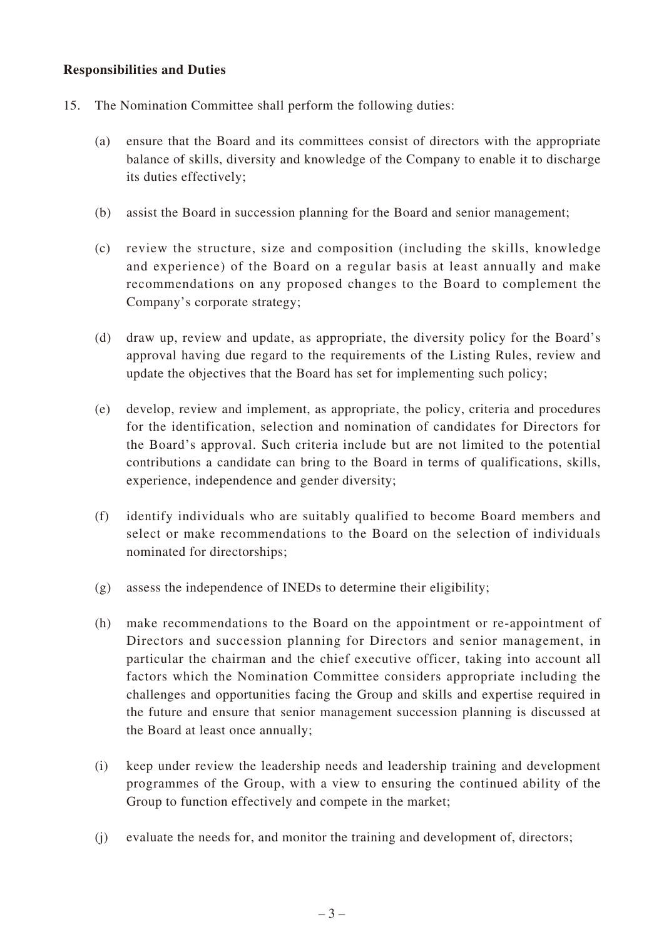#### **Responsibilities and Duties**

- 15. The Nomination Committee shall perform the following duties:
	- (a) ensure that the Board and its committees consist of directors with the appropriate balance of skills, diversity and knowledge of the Company to enable it to discharge its duties effectively;
	- (b) assist the Board in succession planning for the Board and senior management;
	- (c) review the structure, size and composition (including the skills, knowledge and experience) of the Board on a regular basis at least annually and make recommendations on any proposed changes to the Board to complement the Company's corporate strategy;
	- (d) draw up, review and update, as appropriate, the diversity policy for the Board's approval having due regard to the requirements of the Listing Rules, review and update the objectives that the Board has set for implementing such policy;
	- (e) develop, review and implement, as appropriate, the policy, criteria and procedures for the identification, selection and nomination of candidates for Directors for the Board's approval. Such criteria include but are not limited to the potential contributions a candidate can bring to the Board in terms of qualifications, skills, experience, independence and gender diversity;
	- (f) identify individuals who are suitably qualified to become Board members and select or make recommendations to the Board on the selection of individuals nominated for directorships;
	- (g) assess the independence of INEDs to determine their eligibility;
	- (h) make recommendations to the Board on the appointment or re-appointment of Directors and succession planning for Directors and senior management, in particular the chairman and the chief executive officer, taking into account all factors which the Nomination Committee considers appropriate including the challenges and opportunities facing the Group and skills and expertise required in the future and ensure that senior management succession planning is discussed at the Board at least once annually;
	- (i) keep under review the leadership needs and leadership training and development programmes of the Group, with a view to ensuring the continued ability of the Group to function effectively and compete in the market;
	- (j) evaluate the needs for, and monitor the training and development of, directors;